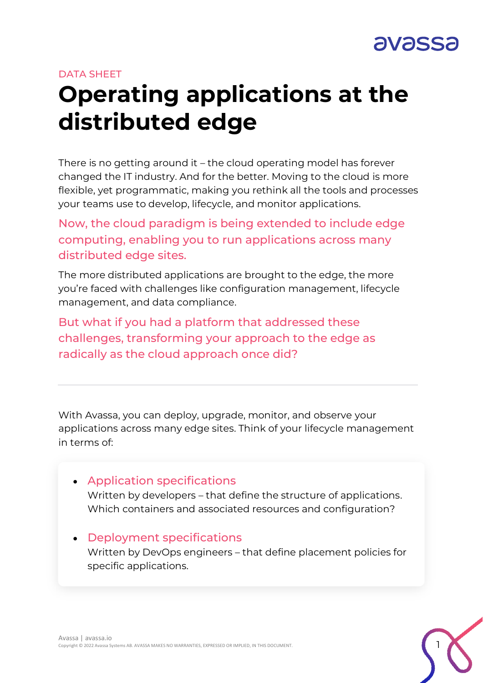

#### DATA SHEET

# **Operating applications at the distributed edge**

There is no getting around it – the cloud operating model has forever changed the IT industry. And for the better. Moving to the cloud is more flexible, yet programmatic, making you rethink all the tools and processes your teams use to develop, lifecycle, and monitor applications.

Now, the cloud paradigm is being extended to include edge computing, enabling you to run applications across many distributed edge sites.

The more distributed applications are brought to the edge, the more you're faced with challenges like configuration management, lifecycle management, and data compliance.

But what if you had a platform that addressed these challenges, transforming your approach to the edge as radically as the cloud approach once did?

With Avassa, you can deploy, upgrade, monitor, and observe your applications across many edge sites. Think of your lifecycle management in terms of:

- Application specifications Written by developers – that define the structure of applications. Which containers and associated resources and configuration?
- Deployment specifications Written by DevOps engineers – that define placement policies for specific applications.

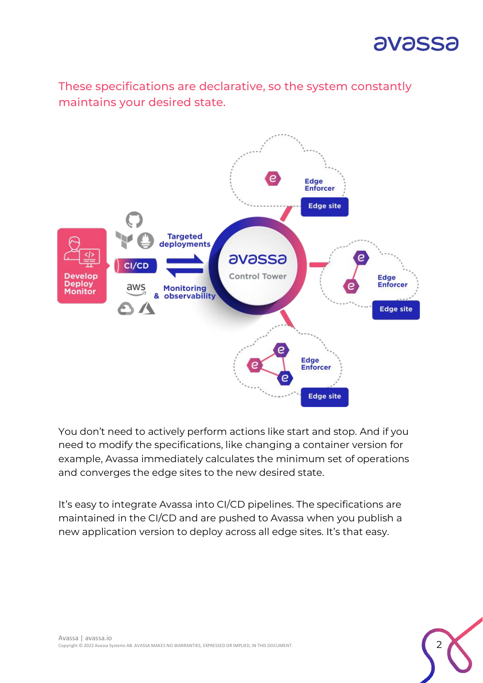

These specifications are declarative, so the system constantly maintains your desired state.



You don't need to actively perform actions like start and stop. And if you need to modify the specifications, like changing a container version for example, Avassa immediately calculates the minimum set of operations and converges the edge sites to the new desired state.

It's easy to integrate Avassa into CI/CD pipelines. The specifications are maintained in the CI/CD and are pushed to Avassa when you publish a new application version to deploy across all edge sites. It's that easy.

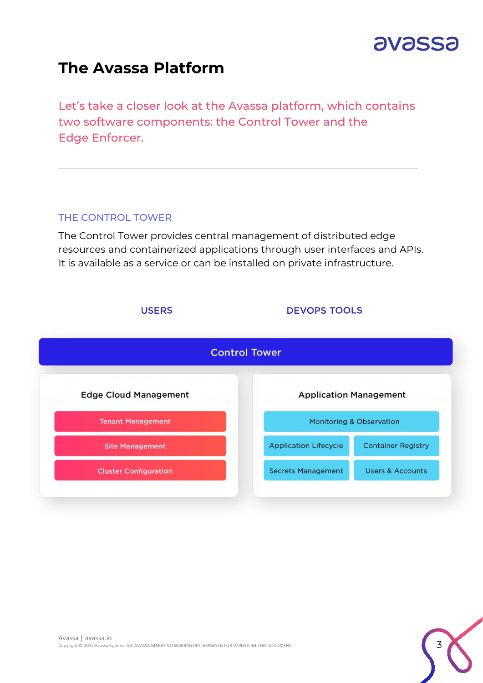

### **The Avassa Platform**

Let's take a closer look at the Avassa platform, which contains two software components: the Control Tower and the Edge Enforcer.

#### THE CONTROL TOWER

The Control Tower provides central management of distributed edge resources and containerized applications through user interfaces and APIs. It is available as a service or can be installed on private infrastructure.



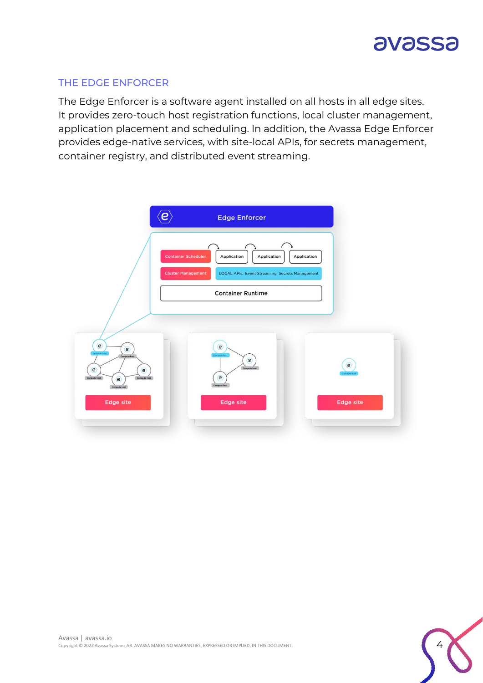

#### THE EDGE ENFORCER

The Edge Enforcer is a software agent installed on all hosts in all edge sites. It provides zero-touch host registration functions, local cluster management, application placement and scheduling. In addition, the Avassa Edge Enforcer provides edge-native services, with site-local APIs, for secrets management, container registry, and distributed event streaming.



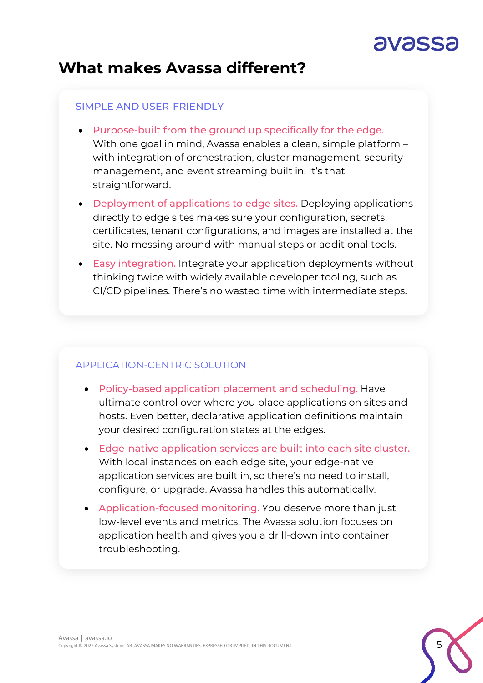## avass

### **What makes Avassa different?**

#### SIMPLE AND USER-FRIENDLY

- Purpose-built from the ground up specifically for the edge. With one goal in mind, Avassa enables a clean, simple platform – with integration of orchestration, cluster management, security management, and event streaming built in. It's that straightforward.
- Deployment of applications to edge sites. Deploying applications directly to edge sites makes sure your configuration, secrets, certificates, tenant configurations, and images are installed at the site. No messing around with manual steps or additional tools.
- Easy integration. Integrate your application deployments without thinking twice with widely available developer tooling, such as CI/CD pipelines. There's no wasted time with intermediate steps.

#### APPLICATION-CENTRIC SOLUTION

- Policy-based application placement and scheduling. Have ultimate control over where you place applications on sites and hosts. Even better, declarative application definitions maintain your desired configuration states at the edges.
- Edge-native application services are built into each site cluster. With local instances on each edge site, your edge-native application services are built in, so there's no need to install, configure, or upgrade. Avassa handles this automatically.
- Application-focused monitoring. You deserve more than just low-level events and metrics. The Avassa solution focuses on application health and gives you a drill-down into container troubleshooting.